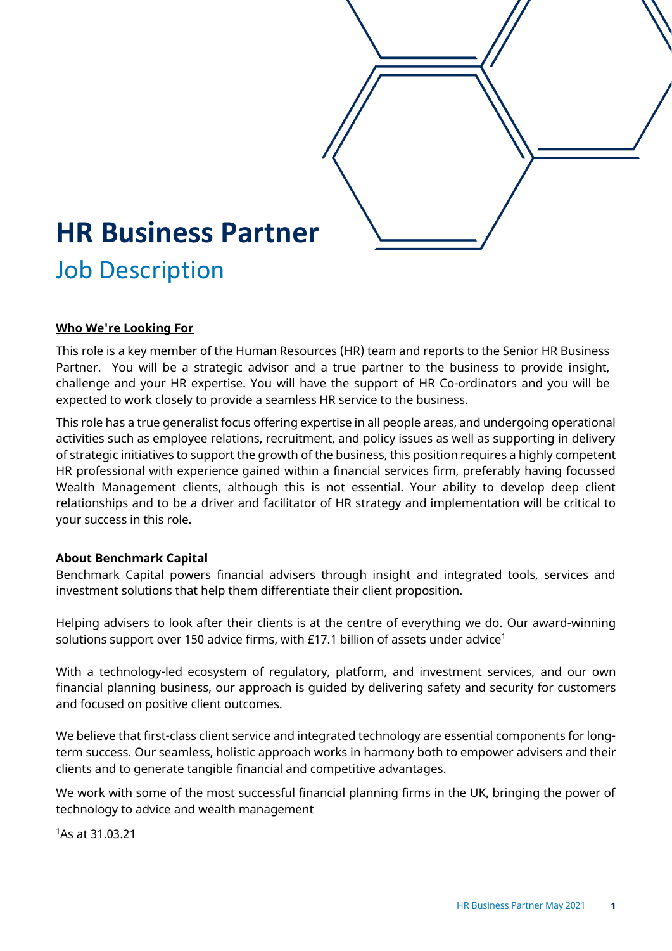

#### **Who We're Looking For**

This role is a key member of the Human Resources (HR) team and reports to the Senior HR Business Partner. You will be a strategic advisor and a true partner to the business to provide insight, challenge and your HR expertise. You will have the support of HR Co-ordinators and you will be expected to work closely to provide a seamless HR service to the business.

This role has a true generalist focus offering expertise in all people areas, and undergoing operational activities such as employee relations, recruitment, and policy issues as well as supporting in delivery of strategic initiatives to support the growth of the business, this position requires a highly competent HR professional with experience gained within a financial services firm, preferably having focussed Wealth Management clients, although this is not essential. Your ability to develop deep client relationships and to be a driver and facilitator of HR strategy and implementation will be critical to your success in this role.

#### **About Benchmark Capital**

Benchmark Capital powers financial advisers through insight and integrated tools, services and investment solutions that help them differentiate their client proposition.

Helping advisers to look after their clients is at the centre of everything we do. Our award-winning solutions support over 150 advice firms, with £17.1 billion of assets under advice<sup>1</sup>

With a technology-led ecosystem of regulatory, platform, and investment services, and our own financial planning business, our approach is guided by delivering safety and security for customers and focused on positive client outcomes.

We believe that first-class client service and integrated technology are essential components for longterm success. Our seamless, holistic approach works in harmony both to empower advisers and their clients and to generate tangible financial and competitive advantages.

We work with some of the most successful financial planning firms in the UK, bringing the power of technology to advice and wealth management

<sup>1</sup>As at 31.03.21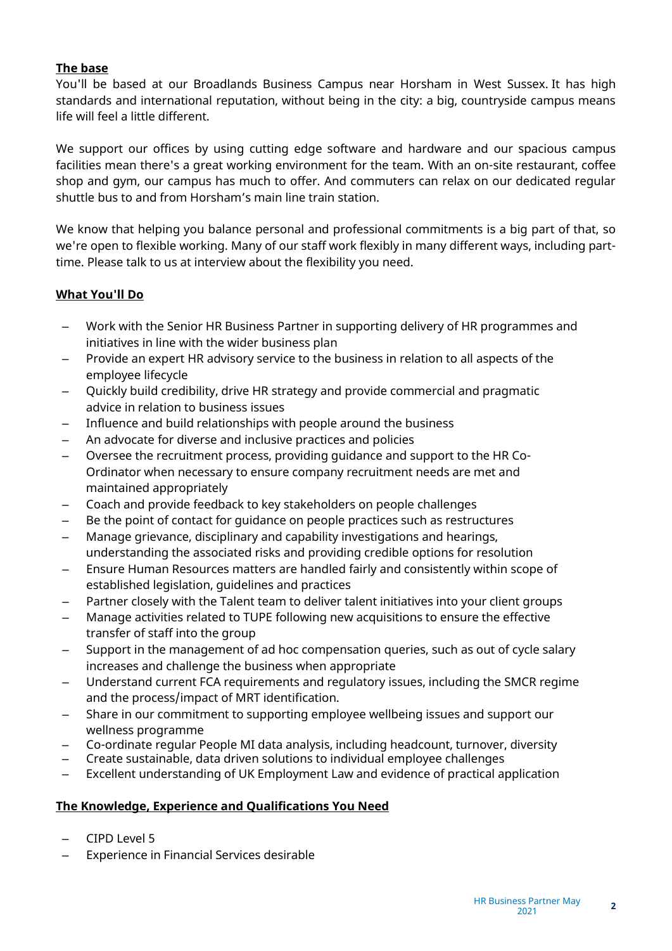# **The base**

You'll be based at our Broadlands Business Campus near Horsham in West Sussex. It has high standards and international reputation, without being in the city: a big, countryside campus means life will feel a little different.

We support our offices by using cutting edge software and hardware and our spacious campus facilities mean there's a great working environment for the team. With an on-site restaurant, coffee shop and gym, our campus has much to offer. And commuters can relax on our dedicated regular shuttle bus to and from Horsham's main line train station.

We know that helping you balance personal and professional commitments is a big part of that, so we're open to flexible working. Many of our staff work flexibly in many different ways, including parttime. Please talk to us at interview about the flexibility you need.

# **What You'll Do**

- Work with the Senior HR Business Partner in supporting delivery of HR programmes and initiatives in line with the wider business plan
- Provide an expert HR advisory service to the business in relation to all aspects of the employee lifecycle
- Quickly build credibility, drive HR strategy and provide commercial and pragmatic advice in relation to business issues
- Influence and build relationships with people around the business
- An advocate for diverse and inclusive practices and policies
- Oversee the recruitment process, providing guidance and support to the HR Co-Ordinator when necessary to ensure company recruitment needs are met and maintained appropriately
- Coach and provide feedback to key stakeholders on people challenges
- Be the point of contact for guidance on people practices such as restructures
- Manage grievance, disciplinary and capability investigations and hearings, understanding the associated risks and providing credible options for resolution
- Ensure Human Resources matters are handled fairly and consistently within scope of established legislation, guidelines and practices
- Partner closely with the Talent team to deliver talent initiatives into your client groups
- Manage activities related to TUPE following new acquisitions to ensure the effective transfer of staff into the group
- Support in the management of ad hoc compensation queries, such as out of cycle salary increases and challenge the business when appropriate
- Understand current FCA requirements and regulatory issues, including the SMCR regime and the process/impact of MRT identification.
- Share in our commitment to supporting employee wellbeing issues and support our wellness programme
- Co-ordinate regular People MI data analysis, including headcount, turnover, diversity
- Create sustainable, data driven solutions to individual employee challenges
- Excellent understanding of UK Employment Law and evidence of practical application

## **The Knowledge, Experience and Qualifications You Need**

- CIPD Level 5
- Experience in Financial Services desirable